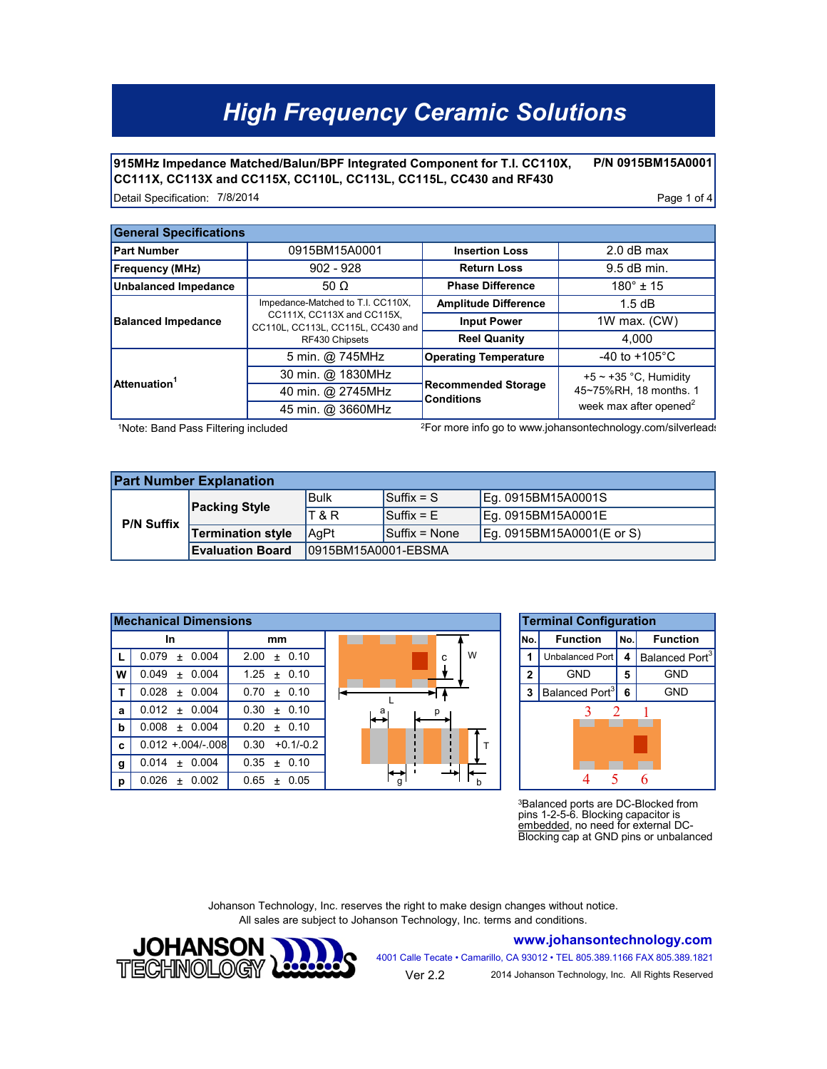# *High Frequency Ceramic Solutions*

**P/N 0915BM15A0001 915MHz Impedance Matched/Balun/BPF Integrated Component for T.I. CC110X, CC111X, CC113X and CC115X, CC110L, CC113L, CC115L, CC430 and RF430**

Detail Specification: Page 1 of 4 7/8/2014

| <b>General Specifications</b> |                                                                                   |                                                 |                                    |  |  |  |  |
|-------------------------------|-----------------------------------------------------------------------------------|-------------------------------------------------|------------------------------------|--|--|--|--|
| <b>Part Number</b>            | 0915BM15A0001                                                                     | <b>Insertion Loss</b>                           | $2.0$ dB max                       |  |  |  |  |
| <b>Frequency (MHz)</b>        | $902 - 928$                                                                       | <b>Return Loss</b>                              | 9.5 dB min.                        |  |  |  |  |
| <b>Unbalanced Impedance</b>   | <b>Phase Difference</b><br>50 $\Omega$                                            |                                                 | $180^{\circ}$ ± 15                 |  |  |  |  |
| <b>Balanced Impedance</b>     | Impedance-Matched to T.I. CC110X,                                                 | <b>Amplitude Difference</b>                     | 1.5dB                              |  |  |  |  |
|                               | CC111X, CC113X and CC115X,<br>CC110L, CC113L, CC115L, CC430 and<br>RF430 Chipsets | <b>Input Power</b>                              | 1W max. $(CW)$                     |  |  |  |  |
|                               |                                                                                   | <b>Reel Quanity</b>                             | 4.000                              |  |  |  |  |
| Attenuation <sup>1</sup>      | 5 min. @ 745MHz                                                                   | <b>Operating Temperature</b>                    | -40 to +105°C                      |  |  |  |  |
|                               | 30 min. @ 1830MHz                                                                 |                                                 | +5 $\sim$ +35 °C, Humidity         |  |  |  |  |
|                               | 40 min. @ 2745MHz                                                                 | <b>Recommended Storage</b><br><b>Conditions</b> | 45~75%RH, 18 months. 1             |  |  |  |  |
|                               | 45 min. @ 3660MHz                                                                 |                                                 | week max after opened <sup>2</sup> |  |  |  |  |

1Note: Band Pass Filtering included

2For more info go to www.johansontechnology.com/silverleads

| <b>Part Number Explanation</b> |                          |                      |                                |                           |  |  |  |
|--------------------------------|--------------------------|----------------------|--------------------------------|---------------------------|--|--|--|
| <b>P/N Suffix</b>              | <b>Packing Style</b>     | lBulk                | <b>Suffix = S</b>              | Eg. 0915BM15A0001S        |  |  |  |
|                                |                          | <b>T&amp;R</b>       | $\mathsf{Suffix} = \mathsf{E}$ | Eq. 0915BM15A0001E        |  |  |  |
|                                | <b>Termination style</b> | AaPt                 | $Suffix = None$                | Eg. 0915BM15A0001(E or S) |  |  |  |
|                                | <b>Evaluation Board</b>  | 10915BM15A0001-EBSMA |                                |                           |  |  |  |

|   | <b>Mechanical Dimensions</b> | <b>Terminal Configura</b> |        |              |                              |    |
|---|------------------------------|---------------------------|--------|--------------|------------------------------|----|
|   | In                           | mm                        |        | lNo.         | <b>Function</b>              | İN |
|   | 0.079<br>0.004<br>$\ddot{}$  | ± 0.10<br>2.00            | W<br>c |              | Unbalanced Port   4          |    |
| W | 0.049<br>0.004<br>$+$        | $1.25 \pm 0.10$           |        | $\mathbf{2}$ | <b>GND</b>                   | 5  |
|   | 0.028<br>0.004<br>$+$        | 0.10<br>0.70<br>$+$       |        | 3            | Balanced Port <sup>3</sup> 6 |    |
| a | $0.012 \pm 0.004$            | 0.30<br>± 0.10            | a      |              |                              |    |
| b | 0.008<br>± 0.004             | ± 0.10<br>0.20            |        |              |                              |    |
| C | $0.012 + 0.004/- 0.08$       | $+0.1/-0.2$<br>0.30       |        |              |                              |    |
| g | 0.014<br>0.004<br>$+$        | ± 0.10<br>0.35            |        |              |                              |    |
| p | 0.026<br>0.002<br>$\ddot{}$  | 0.05<br>0.65<br>$+$       | O      |              |                              |    |



<sup>3</sup>Balanced ports are DC-Blocked from pins 1-2-5-6. Blocking capacitor is embedded, no need for external DC-Blocking cap at GND pins or unbalanced

Johanson Technology, Inc. reserves the right to make design changes without notice. All sales are subject to Johanson Technology, Inc. terms and conditions.



**www.johansontechnology.com** 4001 Calle Tecate • Camarillo, CA 93012 • TEL 805.389.1166 FAX 805.389.1821

Ver 2.2 2014 Johanson Technology, Inc. All Rights Reserved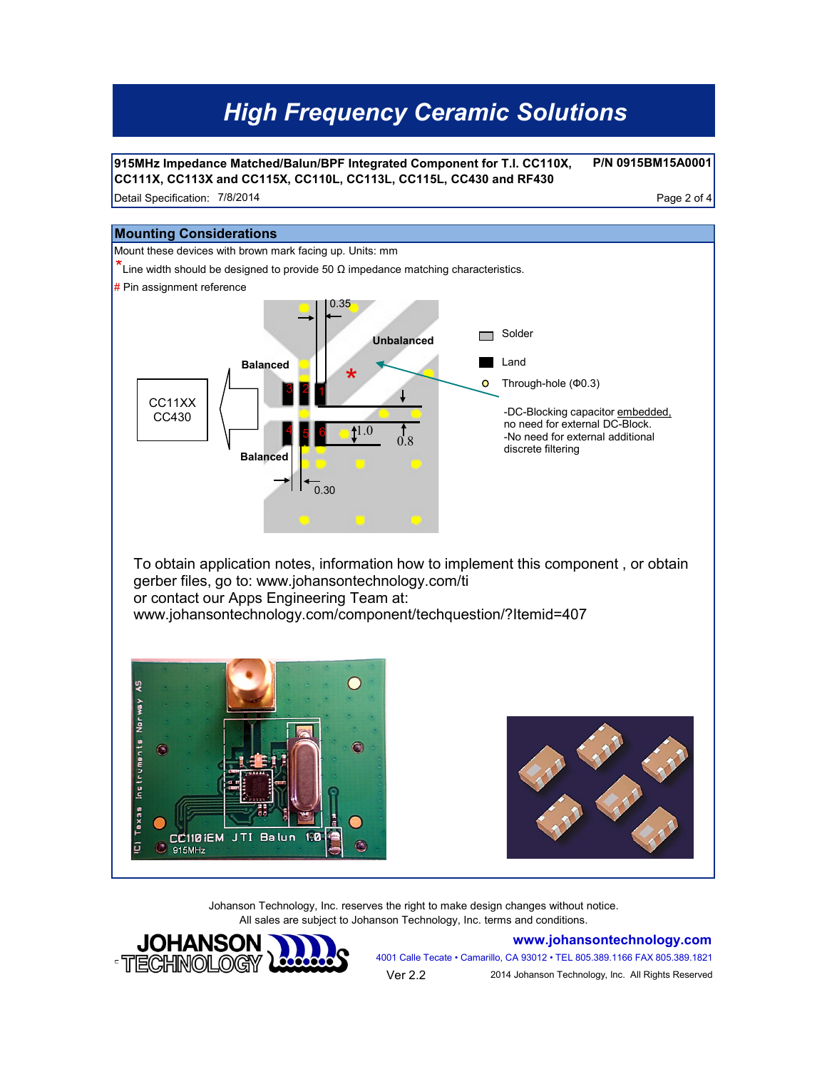# *High Frequency Ceramic Solutions*

**915MHz Impedance Matched/Balun/BPF Integrated Component for T.I. CC110X, CC111X, CC113X and CC115X, CC110L, CC113L, CC115L, CC430 and RF430**

**P/N 0915BM15A0001**

Detail Specification: Page 2 of 4 7/8/2014



Johanson Technology, Inc. reserves the right to make design changes without notice. All sales are subject to Johanson Technology, Inc. terms and conditions.



**www.johansontechnology.com** 4001 Calle Tecate • Camarillo, CA 93012 • TEL 805.389.1166 FAX 805.389.1821 Ver 2.2 2014 Johanson Technology, Inc. All Rights Reserved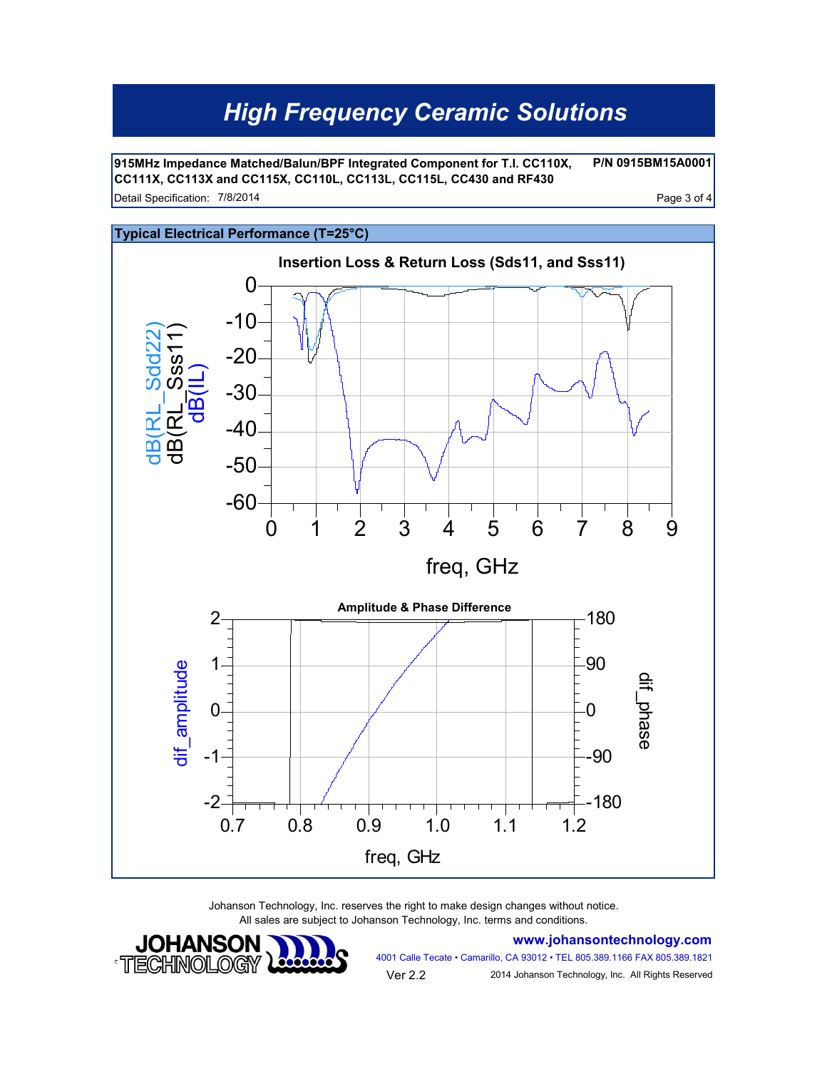# *High Frequency Ceramic Solutions*

**P/N 0915BM15A0001** Detail Specification: Page 3 of 4 7/8/2014 **915MHz Impedance Matched/Balun/BPF Integrated Component for T.I. CC110X, CC111X, CC113X and CC115X, CC110L, CC113L, CC115L, CC430 and RF430**



Johanson Technology, Inc. reserves the right to make design changes without notice. All sales are subject to Johanson Technology, Inc. terms and conditions.



**www.johansontechnology.com**

4001 Calle Tecate • Camarillo, CA 93012 • TEL 805.389.1166 FAX 805.389.1821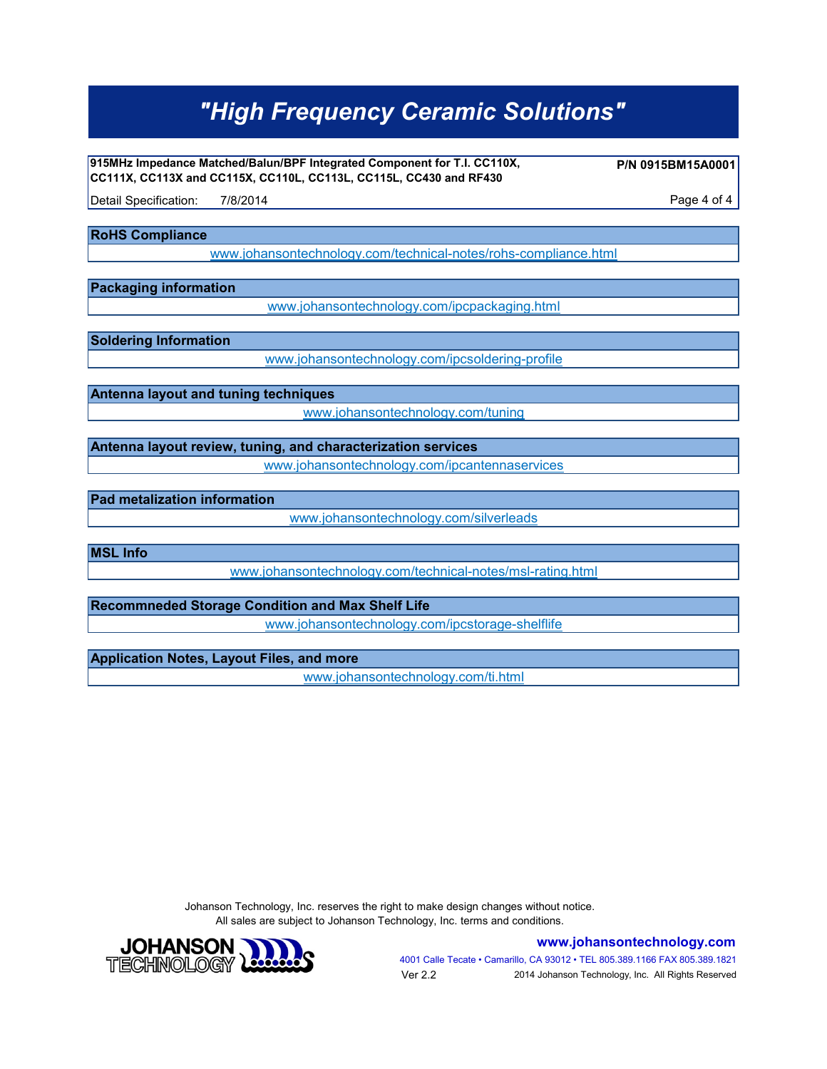# *"High Frequency Ceramic Solutions"*

**915MHz Impedance Matched/Balun/BPF Integrated Component for T.I. CC110X, CC111X, CC113X and CC115X, CC110L, CC113L, CC115L, CC430 and RF430**

**P/N 0915BM15A0001**

Detail Specification: 7/8/2014 **Detail Specification:** 7/8/2014 7/8/2014

**RoHS Compliance**

[www.johansontechnology.com/technical-notes/rohs-compliance.html](http://www.johansontechnology.com/technical-notes/rohs-compliance.html)

**Packaging information**

[www.johansontechnology.com/ipcpackaging.html](http://www.johansontechnology.com/ipcpackaging.html)

**Soldering Information**

[www.johansontechnology.com/ipcsoldering-profile](http://www.johansontechnology.com/ipcsoldering-profile)

**Antenna layout and tuning techniques**

[www.johansontechnology.com/tuning](http://www.johansontechnology.com/tuning)

**Antenna layout review, tuning, and characterization services** [www.johansontechnology.com/ipcantennaservices](http://www.johansontechnology.com/ipcantennaservices)

**Pad metalization information**

[www.johansontechnology.com/silverleads](http://www.johansontechnology.com/silverleads)

**MSL Info**

[www.johansontechnology.com/technical-notes/msl-rating.html](http://www.johansontechnology.com/technical-notes/msl-rating.html)

**Recommneded Storage Condition and Max Shelf Life**

[www.johansontechnology.com/ipcstorage-shelflife](http://www.johansontechnology.com/ipcstorage-shelflife)

#### **Application Notes, Layout Files, and more**

[www.johansontechnology.com/ti.html](http://www.johansontechnology.com/ti.html)

Johanson Technology, Inc. reserves the right to make design changes without notice. All sales are subject to Johanson Technology, Inc. terms and conditions.



**www.johansontechnology.com**

4001 Calle Tecate • Camarillo, CA 93012 • TEL 805.389.1166 FAX 805.389.1821 Ver 2.2 2014 Johanson Technology, Inc. All Rights Reserved